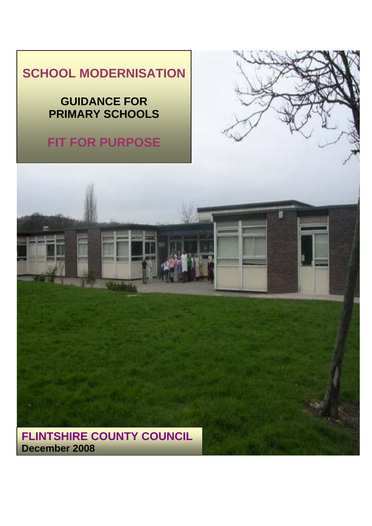# **SCHOOL MODERNISATION**

## **GUIDANCE FOR PRIMARY SCHOOLS**

# **FIT FOR PURPOSE**



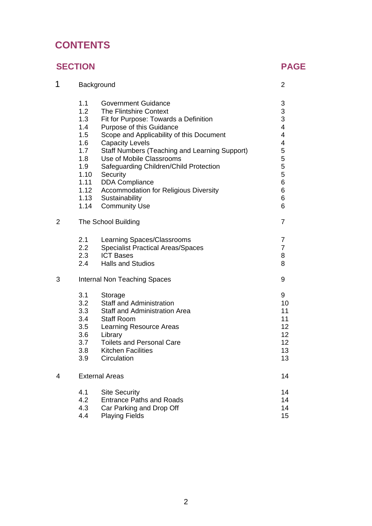## **CONTENTS**

## **SECTION PAGE**

| 1              | Background                   |                                               |                 |
|----------------|------------------------------|-----------------------------------------------|-----------------|
|                | 1.1                          | <b>Government Guidance</b>                    | 3               |
|                | 1.2                          | <b>The Flintshire Context</b>                 | 3               |
|                | 1.3                          | Fit for Purpose: Towards a Definition         | 3               |
|                | 1.4                          | Purpose of this Guidance                      | $\overline{4}$  |
|                | 1.5                          | Scope and Applicability of this Document      | 4               |
|                | 1.6                          | <b>Capacity Levels</b>                        | 4               |
|                | 1.7                          | Staff Numbers (Teaching and Learning Support) | 5               |
|                | 1.8                          | Use of Mobile Classrooms                      | 5               |
|                | 1.9                          | Safeguarding Children/Child Protection        | 5               |
|                | 1.10                         | Security                                      | 5               |
|                | 1.11                         | <b>DDA Compliance</b>                         | 6               |
|                | 1.12                         | Accommodation for Religious Diversity         | 6               |
|                | 1.13                         | Sustainability                                | 6               |
|                | 1.14                         | <b>Community Use</b>                          | 6               |
| $\overline{2}$ | The School Building          |                                               | $\overline{7}$  |
|                | 2.1                          | Learning Spaces/Classrooms                    | 7               |
|                | 2.2                          | <b>Specialist Practical Areas/Spaces</b>      | 7               |
|                | 2.3                          | <b>ICT Bases</b>                              | 8               |
|                | 2.4                          | <b>Halls and Studios</b>                      | 8               |
| 3              | Internal Non Teaching Spaces |                                               |                 |
|                | 3.1                          | Storage                                       | 9               |
|                | 3.2                          | <b>Staff and Administration</b>               | 10              |
|                | 3.3                          | <b>Staff and Administration Area</b>          | 11              |
|                | 3.4                          | <b>Staff Room</b>                             | 11              |
|                | 3.5                          | Learning Resource Areas                       | 12 <sub>2</sub> |
|                | 3.6                          | Library                                       | 12 <sub>2</sub> |
|                | 3.7                          | <b>Toilets and Personal Care</b>              | 12 <sub>2</sub> |
|                | 3.8                          | <b>Kitchen Facilities</b>                     | 13              |
|                | 3.9                          | Circulation                                   | 13              |
| 4              | <b>External Areas</b>        |                                               | 14              |
|                | 4.1                          | <b>Site Security</b>                          | 14              |
|                | 4.2                          | <b>Entrance Paths and Roads</b>               | 14              |
|                | 4.3                          | Car Parking and Drop Off                      | 14              |
|                | 4.4                          | <b>Playing Fields</b>                         | 15              |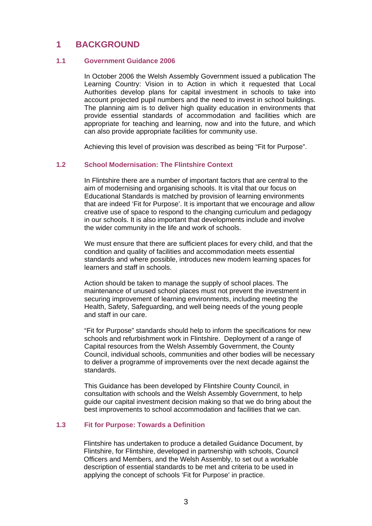## **1 BACKGROUND**

#### **1.1 Government Guidance 2006**

In October 2006 the Welsh Assembly Government issued a publication The Learning Country: Vision in to Action in which it requested that Local Authorities develop plans for capital investment in schools to take into account projected pupil numbers and the need to invest in school buildings. The planning aim is to deliver high quality education in environments that provide essential standards of accommodation and facilities which are appropriate for teaching and learning, now and into the future, and which can also provide appropriate facilities for community use.

Achieving this level of provision was described as being "Fit for Purpose".

#### **1.2 School Modernisation: The Flintshire Context**

In Flintshire there are a number of important factors that are central to the aim of modernising and organising schools. It is vital that our focus on Educational Standards is matched by provision of learning environments that are indeed 'Fit for Purpose'. It is important that we encourage and allow creative use of space to respond to the changing curriculum and pedagogy in our schools. It is also important that developments include and involve the wider community in the life and work of schools.

We must ensure that there are sufficient places for every child, and that the condition and quality of facilities and accommodation meets essential standards and where possible, introduces new modern learning spaces for learners and staff in schools.

Action should be taken to manage the supply of school places. The maintenance of unused school places must not prevent the investment in securing improvement of learning environments, including meeting the Health, Safety, Safeguarding, and well being needs of the young people and staff in our care.

"Fit for Purpose" standards should help to inform the specifications for new schools and refurbishment work in Flintshire. Deployment of a range of Capital resources from the Welsh Assembly Government, the County Council, individual schools, communities and other bodies will be necessary to deliver a programme of improvements over the next decade against the standards.

This Guidance has been developed by Flintshire County Council, in consultation with schools and the Welsh Assembly Government, to help guide our capital investment decision making so that we do bring about the best improvements to school accommodation and facilities that we can.

#### **1.3 Fit for Purpose: Towards a Definition**

Flintshire has undertaken to produce a detailed Guidance Document, by Flintshire, for Flintshire, developed in partnership with schools, Council Officers and Members, and the Welsh Assembly, to set out a workable description of essential standards to be met and criteria to be used in applying the concept of schools 'Fit for Purpose' in practice.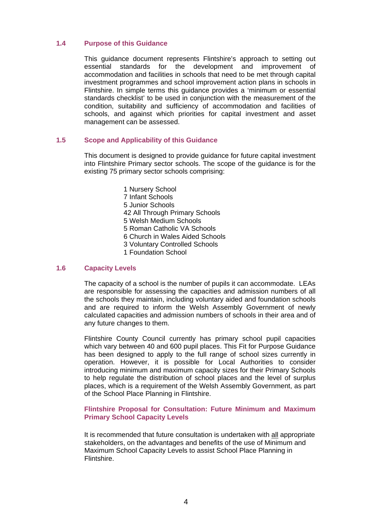#### **1.4 Purpose of this Guidance**

This guidance document represents Flintshire's approach to setting out essential standards for the development and improvement of accommodation and facilities in schools that need to be met through capital investment programmes and school improvement action plans in schools in Flintshire. In simple terms this guidance provides a 'minimum or essential standards checklist' to be used in conjunction with the measurement of the condition, suitability and sufficiency of accommodation and facilities of schools, and against which priorities for capital investment and asset management can be assessed.

#### **1.5 Scope and Applicability of this Guidance**

This document is designed to provide guidance for future capital investment into Flintshire Primary sector schools. The scope of the guidance is for the existing 75 primary sector schools comprising:

> 1 Nursery School 7 Infant Schools 5 Junior Schools 42 All Through Primary Schools 5 Welsh Medium Schools 5 Roman Catholic VA Schools 6 Church in Wales Aided Schools 3 Voluntary Controlled Schools 1 Foundation School

#### **1.6 Capacity Levels**

The capacity of a school is the number of pupils it can accommodate. LEAs are responsible for assessing the capacities and admission numbers of all the schools they maintain, including voluntary aided and foundation schools and are required to inform the Welsh Assembly Government of newly calculated capacities and admission numbers of schools in their area and of any future changes to them.

Flintshire County Council currently has primary school pupil capacities which vary between 40 and 600 pupil places. This Fit for Purpose Guidance has been designed to apply to the full range of school sizes currently in operation. However, it is possible for Local Authorities to consider introducing minimum and maximum capacity sizes for their Primary Schools to help regulate the distribution of school places and the level of surplus places, which is a requirement of the Welsh Assembly Government, as part of the School Place Planning in Flintshire.

#### **Flintshire Proposal for Consultation: Future Minimum and Maximum Primary School Capacity Levels**

It is recommended that future consultation is undertaken with all appropriate stakeholders, on the advantages and benefits of the use of Minimum and Maximum School Capacity Levels to assist School Place Planning in Flintshire.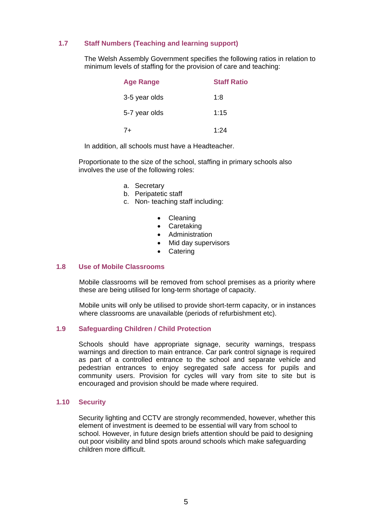#### **1.7 Staff Numbers (Teaching and learning support)**

The Welsh Assembly Government specifies the following ratios in relation to minimum levels of staffing for the provision of care and teaching:

| <b>Age Range</b> | <b>Staff Ratio</b> |
|------------------|--------------------|
| 3-5 year olds    | 1:8                |
| 5-7 year olds    | 1:15               |
| 7+               | 1:24               |

In addition, all schools must have a Headteacher.

Proportionate to the size of the school, staffing in primary schools also involves the use of the following roles:

- a. Secretary
- b. Peripatetic staff
- c. Non- teaching staff including:
	- Cleaning
	- Caretaking
	- Administration
	- Mid day supervisors
	- Catering

#### **1.8 Use of Mobile Classrooms**

Mobile classrooms will be removed from school premises as a priority where these are being utilised for long-term shortage of capacity.

Mobile units will only be utilised to provide short-term capacity, or in instances where classrooms are unavailable (periods of refurbishment etc).

#### **1.9 Safeguarding Children / Child Protection**

Schools should have appropriate signage, security warnings, trespass warnings and direction to main entrance. Car park control signage is required as part of a controlled entrance to the school and separate vehicle and pedestrian entrances to enjoy segregated safe access for pupils and community users. Provision for cycles will vary from site to site but is encouraged and provision should be made where required.

#### **1.10 Security**

Security lighting and CCTV are strongly recommended, however, whether this element of investment is deemed to be essential will vary from school to school. However, in future design briefs attention should be paid to designing out poor visibility and blind spots around schools which make safeguarding children more difficult.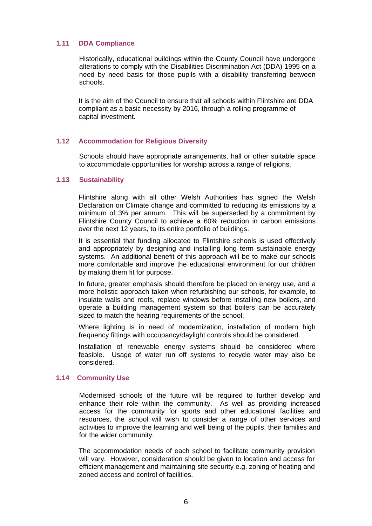#### **1.11 DDA Compliance**

Historically, educational buildings within the County Council have undergone alterations to comply with the Disabilities Discrimination Act (DDA) 1995 on a need by need basis for those pupils with a disability transferring between schools.

It is the aim of the Council to ensure that all schools within Flintshire are DDA compliant as a basic necessity by 2016, through a rolling programme of capital investment.

#### **1.12 Accommodation for Religious Diversity**

Schools should have appropriate arrangements, hall or other suitable space to accommodate opportunities for worship across a range of religions.

#### **1.13 Sustainability**

Flintshire along with all other Welsh Authorities has signed the Welsh Declaration on Climate change and committed to reducing its emissions by a minimum of 3% per annum. This will be superseded by a commitment by Flintshire County Council to achieve a 60% reduction in carbon emissions over the next 12 years, to its entire portfolio of buildings.

It is essential that funding allocated to Flintshire schools is used effectively and appropriately by designing and installing long term sustainable energy systems. An additional benefit of this approach will be to make our schools more comfortable and improve the educational environment for our children by making them fit for purpose.

In future, greater emphasis should therefore be placed on energy use, and a more holistic approach taken when refurbishing our schools, for example, to insulate walls and roofs, replace windows before installing new boilers, and operate a building management system so that boilers can be accurately sized to match the hearing requirements of the school.

Where lighting is in need of modernization, installation of modern high frequency fittings with occupancy/daylight controls should be considered.

Installation of renewable energy systems should be considered where feasible. Usage of water run off systems to recycle water may also be considered.

#### **1.14 Community Use**

 Modernised schools of the future will be required to further develop and enhance their role within the community. As well as providing increased access for the community for sports and other educational facilities and resources, the school will wish to consider a range of other services and activities to improve the learning and well being of the pupils, their families and for the wider community.

The accommodation needs of each school to facilitate community provision will vary. However, consideration should be given to location and access for efficient management and maintaining site security e.g. zoning of heating and zoned access and control of facilities.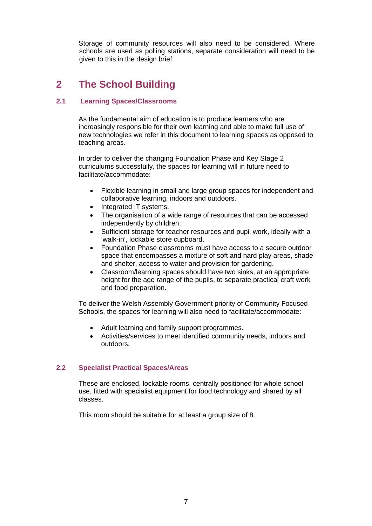Storage of community resources will also need to be considered. Where schools are used as polling stations, separate consideration will need to be given to this in the design brief.

## **2 The School Building**

### **2.1 Learning Spaces/Classrooms**

As the fundamental aim of education is to produce learners who are increasingly responsible for their own learning and able to make full use of new technologies we refer in this document to learning spaces as opposed to teaching areas.

In order to deliver the changing Foundation Phase and Key Stage 2 curriculums successfully, the spaces for learning will in future need to facilitate/accommodate:

- Flexible learning in small and large group spaces for independent and collaborative learning, indoors and outdoors.
- Integrated IT systems.
- The organisation of a wide range of resources that can be accessed independently by children.
- Sufficient storage for teacher resources and pupil work, ideally with a 'walk-in', lockable store cupboard.
- Foundation Phase classrooms must have access to a secure outdoor space that encompasses a mixture of soft and hard play areas, shade and shelter, access to water and provision for gardening.
- Classroom/learning spaces should have two sinks, at an appropriate height for the age range of the pupils, to separate practical craft work and food preparation.

To deliver the Welsh Assembly Government priority of Community Focused Schools, the spaces for learning will also need to facilitate/accommodate:

- Adult learning and family support programmes.
- Activities/services to meet identified community needs, indoors and outdoors.

#### **2.2 Specialist Practical Spaces/Areas**

These are enclosed, lockable rooms, centrally positioned for whole school use, fitted with specialist equipment for food technology and shared by all classes.

This room should be suitable for at least a group size of 8.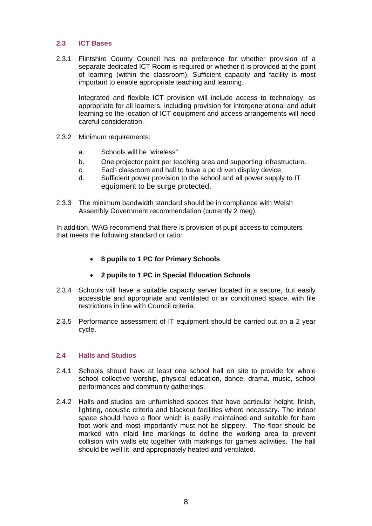#### **2.3 ICT Bases**

2.3.1 Flintshire County Council has no preference for whether provision of a separate dedicated ICT Room is required or whether it is provided at the point of learning (within the classroom). Sufficient capacity and facility is most important to enable appropriate teaching and learning.

Integrated and flexible ICT provision will include access to technology, as appropriate for all learners, including provision for intergenerational and adult learning so the location of ICT equipment and access arrangements will need careful consideration.

- 2.3.2 Minimum requirements:
	- a. Schools will be "wireless"
	- b. One projector point per teaching area and supporting infrastructure.
	- c. Each classroom and hall to have a pc driven display device.
	- d. Sufficient power provision to the school and all power supply to IT equipment to be surge protected.
- 2.3.3 The minimum bandwidth standard should be in compliance with Welsh Assembly Government recommendation (currently 2 meg).

In addition, WAG recommend that there is provision of pupil access to computers that meets the following standard or ratio:

- **8 pupils to 1 PC for Primary Schools**
- **2 pupils to 1 PC in Special Education Schools**
- 2.3.4 Schools will have a suitable capacity server located in a secure, but easily accessible and appropriate and ventilated or air conditioned space, with file restrictions in line with Council criteria.
- 2.3.5 Performance assessment of IT equipment should be carried out on a 2 year cycle.

#### **2.4 Halls and Studios**

- 2.4.1 Schools should have at least one school hall on site to provide for whole school collective worship, physical education, dance, drama, music, school performances and community gatherings.
- 2.4.2 Halls and studios are unfurnished spaces that have particular height, finish, lighting, acoustic criteria and blackout facilities where necessary. The indoor space should have a floor which is easily maintained and suitable for bare foot work and most importantly must not be slippery. The floor should be marked with inlaid line markings to define the working area to prevent collision with walls etc together with markings for games activities. The hall should be well lit, and appropriately heated and ventilated.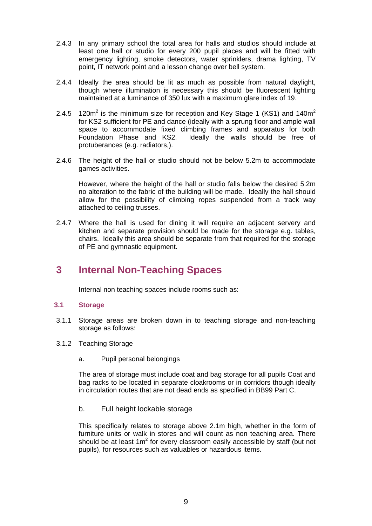- 2.4.3 In any primary school the total area for halls and studios should include at least one hall or studio for every 200 pupil places and will be fitted with emergency lighting, smoke detectors, water sprinklers, drama lighting, TV point, IT network point and a lesson change over bell system.
- 2.4.4 Ideally the area should be lit as much as possible from natural daylight, though where illumination is necessary this should be fluorescent lighting maintained at a luminance of 350 lux with a maximum glare index of 19.
- 2.4.5 120m<sup>2</sup> is the minimum size for reception and Key Stage 1 (KS1) and 140m<sup>2</sup> for KS2 sufficient for PE and dance (ideally with a sprung floor and ample wall space to accommodate fixed climbing frames and apparatus for both Foundation Phase and KS2. Ideally the walls should be free of protuberances (e.g. radiators,).
- 2.4.6 The height of the hall or studio should not be below 5.2m to accommodate games activities.

However, where the height of the hall or studio falls below the desired 5.2m no alteration to the fabric of the building will be made. Ideally the hall should allow for the possibility of climbing ropes suspended from a track way attached to ceiling trusses.

2.4.7 Where the hall is used for dining it will require an adjacent servery and kitchen and separate provision should be made for the storage e.g. tables, chairs. Ideally this area should be separate from that required for the storage of PE and gymnastic equipment.

## **3 Internal Non-Teaching Spaces**

Internal non teaching spaces include rooms such as:

#### **3.1 Storage**

- 3.1.1 Storage areas are broken down in to teaching storage and non-teaching storage as follows:
- 3.1.2 Teaching Storage
	- a. Pupil personal belongings

The area of storage must include coat and bag storage for all pupils Coat and bag racks to be located in separate cloakrooms or in corridors though ideally in circulation routes that are not dead ends as specified in BB99 Part C.

#### b. Full height lockable storage

This specifically relates to storage above 2.1m high, whether in the form of furniture units or walk in stores and will count as non teaching area. There should be at least  $1m^2$  for every classroom easily accessible by staff (but not pupils), for resources such as valuables or hazardous items.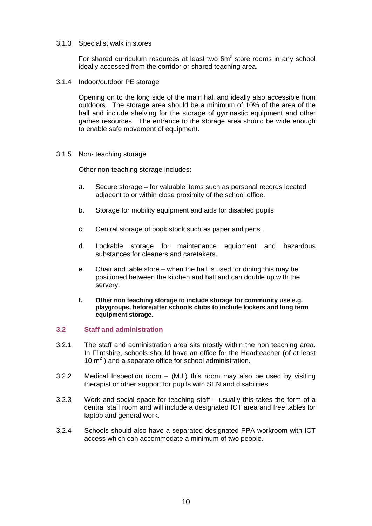#### 3.1.3 Specialist walk in stores

For shared curriculum resources at least two  $6m<sup>2</sup>$  store rooms in any school ideally accessed from the corridor or shared teaching area.

3.1.4 Indoor/outdoor PE storage

Opening on to the long side of the main hall and ideally also accessible from outdoors. The storage area should be a minimum of 10% of the area of the hall and include shelving for the storage of gymnastic equipment and other games resources. The entrance to the storage area should be wide enough to enable safe movement of equipment.

3.1.5 Non- teaching storage

Other non-teaching storage includes:

- a. Secure storage for valuable items such as personal records located adjacent to or within close proximity of the school office.
- b. Storage for mobility equipment and aids for disabled pupils
- c Central storage of book stock such as paper and pens.
- d. Lockable storage for maintenance equipment and hazardous substances for cleaners and caretakers.
- e. Chair and table store when the hall is used for dining this may be positioned between the kitchen and hall and can double up with the servery.
- **f. Other non teaching storage to include storage for community use e.g. playgroups, before/after schools clubs to include lockers and long term equipment storage.**

#### **3.2 Staff and administration**

- 3.2.1 The staff and administration area sits mostly within the non teaching area. In Flintshire, schools should have an office for the Headteacher (of at least 10  $m<sup>2</sup>$ ) and a separate office for school administration.
- 3.2.2 Medical Inspection room (M.I.) this room may also be used by visiting therapist or other support for pupils with SEN and disabilities.
- 3.2.3 Work and social space for teaching staff usually this takes the form of a central staff room and will include a designated ICT area and free tables for laptop and general work.
- 3.2.4 Schools should also have a separated designated PPA workroom with ICT access which can accommodate a minimum of two people.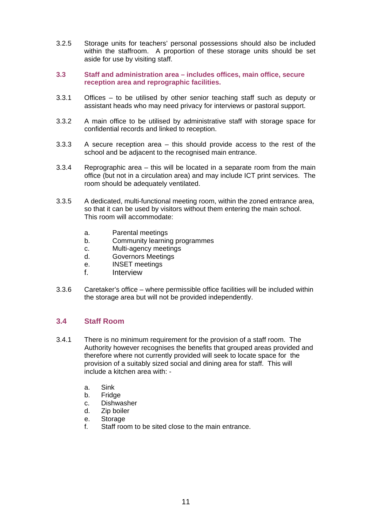- 3.2.5 Storage units for teachers' personal possessions should also be included within the staffroom. A proportion of these storage units should be set aside for use by visiting staff.
- **3.3 Staff and administration area includes offices, main office, secure reception area and reprographic facilities.**
- 3.3.1 Offices to be utilised by other senior teaching staff such as deputy or assistant heads who may need privacy for interviews or pastoral support.
- 3.3.2 A main office to be utilised by administrative staff with storage space for confidential records and linked to reception.
- 3.3.3 A secure reception area this should provide access to the rest of the school and be adjacent to the recognised main entrance.
- 3.3.4 Reprographic area this will be located in a separate room from the main office (but not in a circulation area) and may include ICT print services. The room should be adequately ventilated.
- 3.3.5 A dedicated, multi-functional meeting room, within the zoned entrance area, so that it can be used by visitors without them entering the main school. This room will accommodate:
	- a. Parental meetings
	- b. Community learning programmes
	- c. Multi-agency meetings
	- d. Governors Meetings
	- e. INSET meetings
	- f. Interview
- 3.3.6 Caretaker's office where permissible office facilities will be included within the storage area but will not be provided independently.

#### **3.4 Staff Room**

- 3.4.1 There is no minimum requirement for the provision of a staff room. The Authority however recognises the benefits that grouped areas provided and therefore where not currently provided will seek to locate space for the provision of a suitably sized social and dining area for staff. This will include a kitchen area with:
	- a. Sink
	- b. Fridge
	- c. Dishwasher
	- d. Zip boiler
	- e. Storage
	- f. Staff room to be sited close to the main entrance.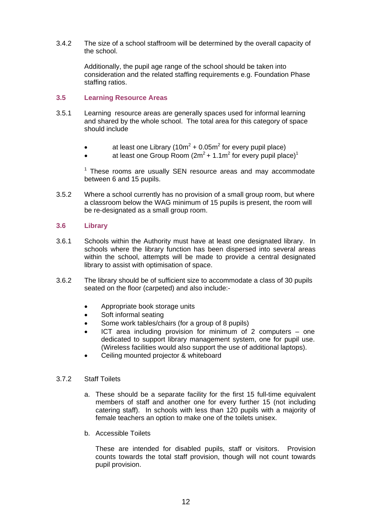3.4.2 The size of a school staffroom will be determined by the overall capacity of the school.

> Additionally, the pupil age range of the school should be taken into consideration and the related staffing requirements e.g. Foundation Phase staffing ratios.

#### **3.5 Learning Resource Areas**

- 3.5.1 Learning resource areas are generally spaces used for informal learning and shared by the whole school. The total area for this category of space should include
	- at least one Library (10m<sup>2</sup> + 0.05m<sup>2</sup> for every pupil place)
	- at least one Group Room ( $2m^2$  + 1.1m<sup>2</sup> for every pupil place)<sup>1</sup>

 $1$  These rooms are usually SEN resource areas and may accommodate between 6 and 15 pupils.

3.5.2 Where a school currently has no provision of a small group room, but where a classroom below the WAG minimum of 15 pupils is present, the room will be re-designated as a small group room.

#### **3.6 Library**

- 3.6.1 Schools within the Authority must have at least one designated library. In schools where the library function has been dispersed into several areas within the school, attempts will be made to provide a central designated library to assist with optimisation of space.
- 3.6.2 The library should be of sufficient size to accommodate a class of 30 pupils seated on the floor (carpeted) and also include:-
	- Appropriate book storage units
	- Soft informal seating
	- Some work tables/chairs (for a group of 8 pupils)
	- ICT area including provision for minimum of 2 computers one dedicated to support library management system, one for pupil use. (Wireless facilities would also support the use of additional laptops).
	- Ceiling mounted projector & whiteboard
- 3.7.2 Staff Toilets
	- a. These should be a separate facility for the first 15 full-time equivalent members of staff and another one for every further 15 (not including catering staff). In schools with less than 120 pupils with a majority of female teachers an option to make one of the toilets unisex.
	- b. Accessible Toilets

These are intended for disabled pupils, staff or visitors. Provision counts towards the total staff provision, though will not count towards pupil provision.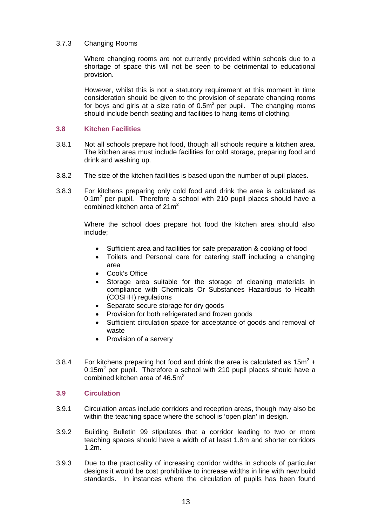#### 3.7.3 Changing Rooms

Where changing rooms are not currently provided within schools due to a shortage of space this will not be seen to be detrimental to educational provision.

However, whilst this is not a statutory requirement at this moment in time consideration should be given to the provision of separate changing rooms for boys and girls at a size ratio of  $0.5m^2$  per pupil. The changing rooms should include bench seating and facilities to hang items of clothing.

#### **3.8 Kitchen Facilities**

- 3.8.1 Not all schools prepare hot food, though all schools require a kitchen area. The kitchen area must include facilities for cold storage, preparing food and drink and washing up.
- 3.8.2 The size of the kitchen facilities is based upon the number of pupil places.
- 3.8.3 For kitchens preparing only cold food and drink the area is calculated as  $0.1\text{m}^2$  per pupil. Therefore a school with 210 pupil places should have a combined kitchen area of  $21m^2$

Where the school does prepare hot food the kitchen area should also include;

- Sufficient area and facilities for safe preparation & cooking of food
- Toilets and Personal care for catering staff including a changing area
- Cook's Office
- Storage area suitable for the storage of cleaning materials in compliance with Chemicals Or Substances Hazardous to Health (COSHH) regulations
- Separate secure storage for dry goods
- Provision for both refrigerated and frozen goods
- Sufficient circulation space for acceptance of goods and removal of waste
- Provision of a servery
- 3.8.4 For kitchens preparing hot food and drink the area is calculated as  $15m^2 +$  $0.15m<sup>2</sup>$  per pupil. Therefore a school with 210 pupil places should have a combined kitchen area of  $46.5m<sup>2</sup>$

#### **3.9 Circulation**

- 3.9.1 Circulation areas include corridors and reception areas, though may also be within the teaching space where the school is 'open plan' in design.
- 3.9.2 Building Bulletin 99 stipulates that a corridor leading to two or more teaching spaces should have a width of at least 1.8m and shorter corridors 1.2m.
- 3.9.3 Due to the practicality of increasing corridor widths in schools of particular designs it would be cost prohibitive to increase widths in line with new build standards. In instances where the circulation of pupils has been found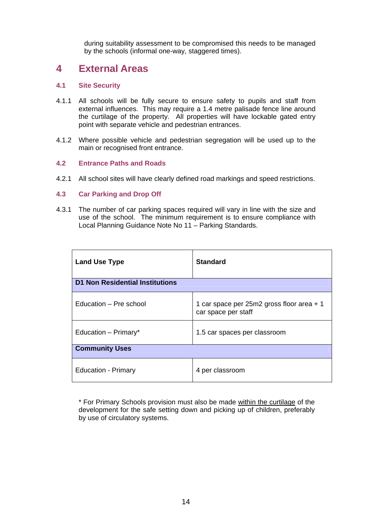during suitability assessment to be compromised this needs to be managed by the schools (informal one-way, staggered times).

## **4 External Areas**

#### **4.1 Site Security**

- 4.1.1 All schools will be fully secure to ensure safety to pupils and staff from external influences. This may require a 1.4 metre palisade fence line around the curtilage of the property. All properties will have lockable gated entry point with separate vehicle and pedestrian entrances.
- 4.1.2 Where possible vehicle and pedestrian segregation will be used up to the main or recognised front entrance.

#### **4.2 Entrance Paths and Roads**

4.2.1 All school sites will have clearly defined road markings and speed restrictions.

#### **4.3 Car Parking and Drop Off**

4.3.1 The number of car parking spaces required will vary in line with the size and use of the school. The minimum requirement is to ensure compliance with Local Planning Guidance Note No 11 – Parking Standards.

| <b>Land Use Type</b>                   | <b>Standard</b>                                                  |  |  |  |
|----------------------------------------|------------------------------------------------------------------|--|--|--|
| <b>D1 Non Residential Institutions</b> |                                                                  |  |  |  |
| Education – Pre school                 | 1 car space per 25m2 gross floor area + 1<br>car space per staff |  |  |  |
| Education – Primary*                   | 1.5 car spaces per classroom                                     |  |  |  |
| <b>Community Uses</b>                  |                                                                  |  |  |  |
| <b>Education - Primary</b>             | 4 per classroom                                                  |  |  |  |

\* For Primary Schools provision must also be made within the curtilage of the development for the safe setting down and picking up of children, preferably by use of circulatory systems.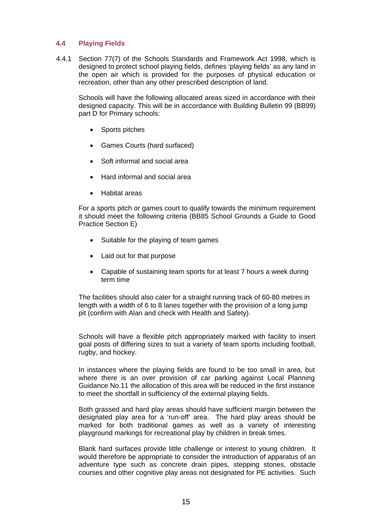#### **4.4 Playing Fields**

4.4.1 Section 77(7) of the Schools Standards and Framework Act 1998, which is designed to protect school playing fields, defines 'playing fields' as any land in the open air which is provided for the purposes of physical education or recreation, other than any other prescribed description of land.

Schools will have the following allocated areas sized in accordance with their designed capacity. This will be in accordance with Building Bulletin 99 (BB99) part D for Primary schools:

- Sports pitches
- Games Courts (hard surfaced)
- Soft informal and social area
- Hard informal and social area
- Habitat areas

For a sports pitch or games court to qualify towards the minimum requirement it should meet the following criteria (BB85 School Grounds a Guide to Good Practice Section E)

- Suitable for the playing of team games
- Laid out for that purpose
- Capable of sustaining team sports for at least 7 hours a week during term time

The facilities should also cater for a straight running track of 60-80 metres in length with a width of 6 to 8 lanes together with the provision of a long jump pit (confirm with Alan and check with Health and Safety).

Schools will have a flexible pitch appropriately marked with facility to insert goal posts of differing sizes to suit a variety of team sports including football, rugby, and hockey.

In instances where the playing fields are found to be too small in area, but where there is an over provision of car parking against Local Planning Guidance No.11 the allocation of this area will be reduced in the first instance to meet the shortfall in sufficiency of the external playing fields.

Both grassed and hard play areas should have sufficient margin between the designated play area for a 'run-off' area. The hard play areas should be marked for both traditional games as well as a variety of interesting playground markings for recreational play by children in break times.

Blank hard surfaces provide little challenge or interest to young children. It would therefore be appropriate to consider the introduction of apparatus of an adventure type such as concrete drain pipes, stepping stones, obstacle courses and other cognitive play areas not designated for PE activities. Such